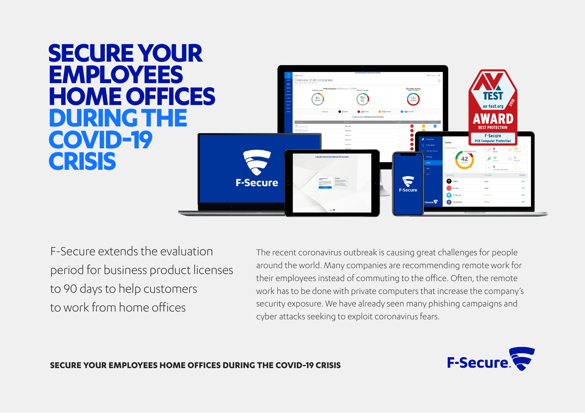### **SECURE YOUR EMPLOYEES**  enjew of all companies **HOME OFFICES DURING THE COVID-19**  F-Secure **PSB Computer Protection CRISIS** F-Secure **F-Secure**  $\bigodot$  F-Secu **Call Facet**

F-Secure extends the evaluation period for business product licenses to 90 days to help customers to work from home offices

The recent coronavirus outbreak is causing great challenges for people around the world. Many companies are recommending remote work for their employees instead of commuting to the office. Often, the remote work has to be done with private computers that increase the company's security exposure. We have already seen many phishing campaigns and cyber attacks seeking to exploit coronavirus fears.



#### **SECURE YOUR EMPLOYEES HOME OFFICES DURING THE COVID-19 CRISIS**